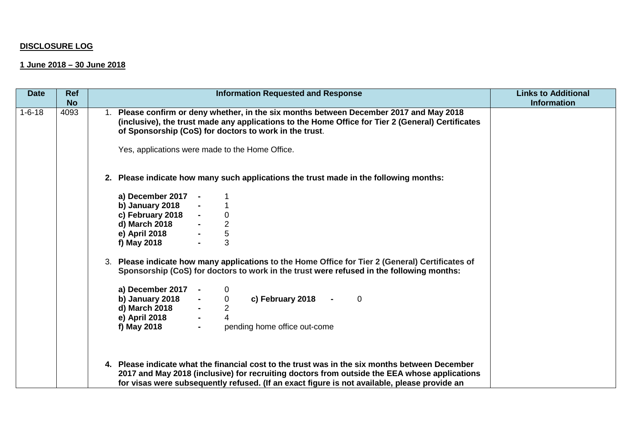## **DISCLOSURE LOG**

## **1 June 2018 – 30 June 2018**

| <b>Date</b>  | <b>Ref</b> | <b>Information Requested and Response</b>                                                                                                                                                                                                                                                                                                                                                                                                            | <b>Links to Additional</b> |
|--------------|------------|------------------------------------------------------------------------------------------------------------------------------------------------------------------------------------------------------------------------------------------------------------------------------------------------------------------------------------------------------------------------------------------------------------------------------------------------------|----------------------------|
|              | <b>No</b>  |                                                                                                                                                                                                                                                                                                                                                                                                                                                      | <b>Information</b>         |
| $1 - 6 - 18$ | 4093       | Please confirm or deny whether, in the six months between December 2017 and May 2018<br>(inclusive), the trust made any applications to the Home Office for Tier 2 (General) Certificates<br>of Sponsorship (CoS) for doctors to work in the trust.<br>Yes, applications were made to the Home Office.                                                                                                                                               |                            |
|              |            | 2. Please indicate how many such applications the trust made in the following months:                                                                                                                                                                                                                                                                                                                                                                |                            |
|              |            | a) December 2017<br>b) January 2018<br>c) February 2018<br>d) March 2018<br>$\boldsymbol{0}$<br>$\frac{2}{5}$<br>e) April 2018<br>3<br>f) May 2018<br>3. Please indicate how many applications to the Home Office for Tier 2 (General) Certificates of<br>Sponsorship (CoS) for doctors to work in the trust were refused in the following months:<br>a) December 2017 $-$<br>$\overline{0}$<br>c) February 2018<br>$\overline{0}$<br>$\overline{0}$ |                            |
|              |            | b) January 2018<br>d) March 2018<br>$\overline{2}$<br>4<br>e) April 2018<br>pending home office out-come<br>f) May 2018<br>$\blacksquare$                                                                                                                                                                                                                                                                                                            |                            |
|              |            | 4. Please indicate what the financial cost to the trust was in the six months between December<br>2017 and May 2018 (inclusive) for recruiting doctors from outside the EEA whose applications<br>for visas were subsequently refused. (If an exact figure is not available, please provide an                                                                                                                                                       |                            |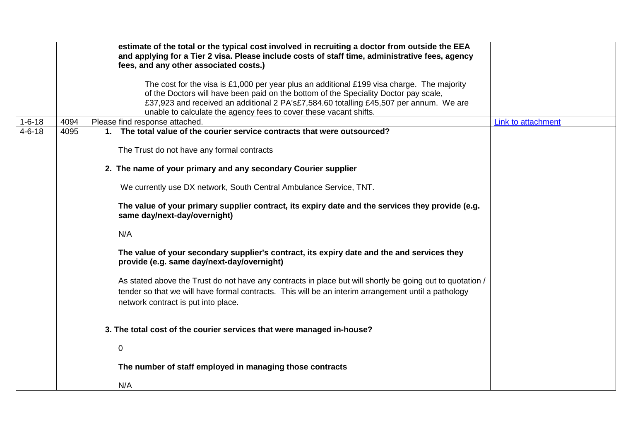|              |      | estimate of the total or the typical cost involved in recruiting a doctor from outside the EEA<br>and applying for a Tier 2 visa. Please include costs of staff time, administrative fees, agency<br>fees, and any other associated costs.)                                                                                                       |                    |
|--------------|------|---------------------------------------------------------------------------------------------------------------------------------------------------------------------------------------------------------------------------------------------------------------------------------------------------------------------------------------------------|--------------------|
|              |      | The cost for the visa is £1,000 per year plus an additional £199 visa charge. The majority<br>of the Doctors will have been paid on the bottom of the Speciality Doctor pay scale,<br>£37,923 and received an additional 2 PA's£7,584.60 totalling £45,507 per annum. We are<br>unable to calculate the agency fees to cover these vacant shifts. |                    |
| $1 - 6 - 18$ | 4094 | Please find response attached.                                                                                                                                                                                                                                                                                                                    | Link to attachment |
| $4 - 6 - 18$ | 4095 | 1. The total value of the courier service contracts that were outsourced?                                                                                                                                                                                                                                                                         |                    |
|              |      | The Trust do not have any formal contracts                                                                                                                                                                                                                                                                                                        |                    |
|              |      | 2. The name of your primary and any secondary Courier supplier                                                                                                                                                                                                                                                                                    |                    |
|              |      | We currently use DX network, South Central Ambulance Service, TNT.                                                                                                                                                                                                                                                                                |                    |
|              |      | The value of your primary supplier contract, its expiry date and the services they provide (e.g.<br>same day/next-day/overnight)                                                                                                                                                                                                                  |                    |
|              |      | N/A                                                                                                                                                                                                                                                                                                                                               |                    |
|              |      | The value of your secondary supplier's contract, its expiry date and the and services they<br>provide (e.g. same day/next-day/overnight)                                                                                                                                                                                                          |                    |
|              |      | As stated above the Trust do not have any contracts in place but will shortly be going out to quotation /<br>tender so that we will have formal contracts. This will be an interim arrangement until a pathology<br>network contract is put into place.                                                                                           |                    |
|              |      | 3. The total cost of the courier services that were managed in-house?                                                                                                                                                                                                                                                                             |                    |
|              |      | $\mathbf 0$                                                                                                                                                                                                                                                                                                                                       |                    |
|              |      | The number of staff employed in managing those contracts                                                                                                                                                                                                                                                                                          |                    |
|              |      | N/A                                                                                                                                                                                                                                                                                                                                               |                    |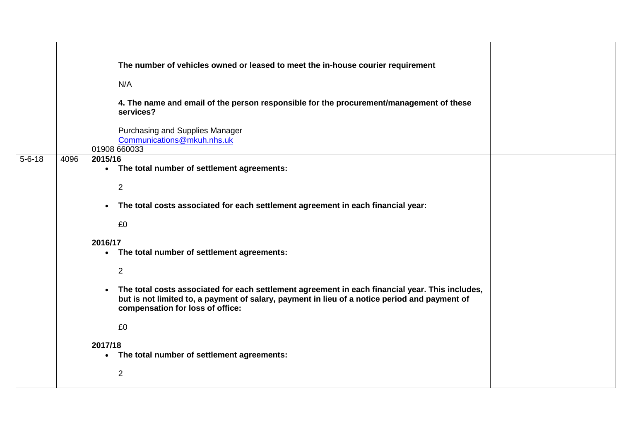|              |      | The number of vehicles owned or leased to meet the in-house courier requirement<br>N/A                                                                                                                                                            |  |
|--------------|------|---------------------------------------------------------------------------------------------------------------------------------------------------------------------------------------------------------------------------------------------------|--|
|              |      | 4. The name and email of the person responsible for the procurement/management of these<br>services?                                                                                                                                              |  |
|              |      | Purchasing and Supplies Manager<br>Communications@mkuh.nhs.uk<br>01908 660033                                                                                                                                                                     |  |
| $5 - 6 - 18$ | 4096 | 2015/16<br>• The total number of settlement agreements:                                                                                                                                                                                           |  |
|              |      | $\overline{2}$                                                                                                                                                                                                                                    |  |
|              |      | The total costs associated for each settlement agreement in each financial year:<br>$\bullet$<br>£0                                                                                                                                               |  |
|              |      | 2016/17<br>• The total number of settlement agreements:                                                                                                                                                                                           |  |
|              |      | $\overline{2}$                                                                                                                                                                                                                                    |  |
|              |      | The total costs associated for each settlement agreement in each financial year. This includes,<br>$\bullet$<br>but is not limited to, a payment of salary, payment in lieu of a notice period and payment of<br>compensation for loss of office: |  |
|              |      | £0                                                                                                                                                                                                                                                |  |
|              |      | 2017/18<br>The total number of settlement agreements:<br>$\bullet$                                                                                                                                                                                |  |
|              |      | $\overline{2}$                                                                                                                                                                                                                                    |  |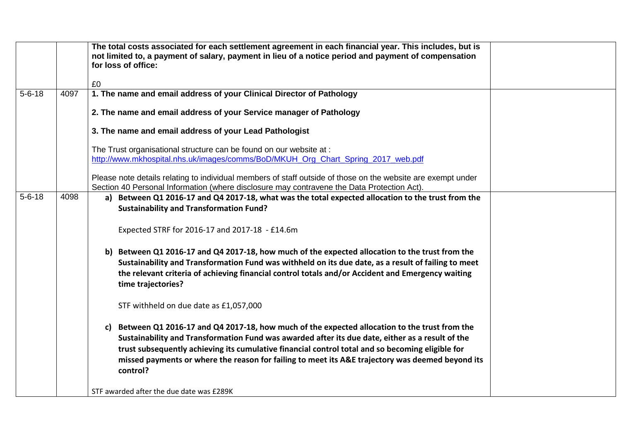|              |      | The total costs associated for each settlement agreement in each financial year. This includes, but is<br>not limited to, a payment of salary, payment in lieu of a notice period and payment of compensation<br>for loss of office:                                                                                                                                                                                       |  |
|--------------|------|----------------------------------------------------------------------------------------------------------------------------------------------------------------------------------------------------------------------------------------------------------------------------------------------------------------------------------------------------------------------------------------------------------------------------|--|
|              |      | £0                                                                                                                                                                                                                                                                                                                                                                                                                         |  |
| $5 - 6 - 18$ | 4097 | 1. The name and email address of your Clinical Director of Pathology                                                                                                                                                                                                                                                                                                                                                       |  |
|              |      | 2. The name and email address of your Service manager of Pathology                                                                                                                                                                                                                                                                                                                                                         |  |
|              |      | 3. The name and email address of your Lead Pathologist                                                                                                                                                                                                                                                                                                                                                                     |  |
|              |      | The Trust organisational structure can be found on our website at :<br>http://www.mkhospital.nhs.uk/images/comms/BoD/MKUH_Org_Chart_Spring_2017_web.pdf                                                                                                                                                                                                                                                                    |  |
|              |      | Please note details relating to individual members of staff outside of those on the website are exempt under<br>Section 40 Personal Information (where disclosure may contravene the Data Protection Act).                                                                                                                                                                                                                 |  |
| $5 - 6 - 18$ | 4098 | a) Between Q1 2016-17 and Q4 2017-18, what was the total expected allocation to the trust from the<br><b>Sustainability and Transformation Fund?</b>                                                                                                                                                                                                                                                                       |  |
|              |      | Expected STRF for 2016-17 and 2017-18 - £14.6m                                                                                                                                                                                                                                                                                                                                                                             |  |
|              |      | b) Between Q1 2016-17 and Q4 2017-18, how much of the expected allocation to the trust from the<br>Sustainability and Transformation Fund was withheld on its due date, as a result of failing to meet<br>the relevant criteria of achieving financial control totals and/or Accident and Emergency waiting<br>time trajectories?                                                                                          |  |
|              |      | STF withheld on due date as £1,057,000                                                                                                                                                                                                                                                                                                                                                                                     |  |
|              |      | Between Q1 2016-17 and Q4 2017-18, how much of the expected allocation to the trust from the<br>C)<br>Sustainability and Transformation Fund was awarded after its due date, either as a result of the<br>trust subsequently achieving its cumulative financial control total and so becoming eligible for<br>missed payments or where the reason for failing to meet its A&E trajectory was deemed beyond its<br>control? |  |
|              |      | STF awarded after the due date was £289K                                                                                                                                                                                                                                                                                                                                                                                   |  |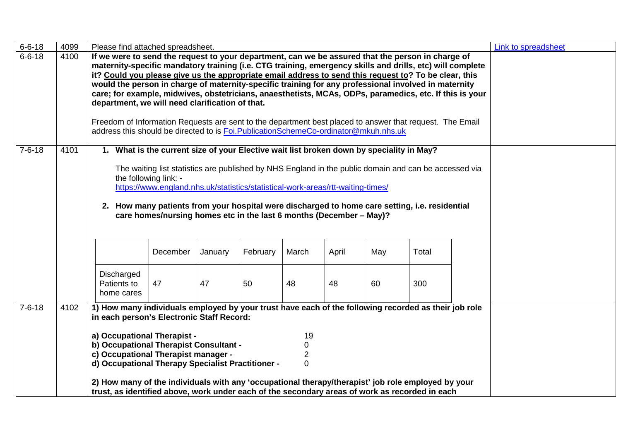| $6 - 6 - 18$ | 4099 | Please find attached spreadsheet.                                                                         |                                                                                                       |         |          |                |       |     |       | <b>Link to spreadsheet</b> |
|--------------|------|-----------------------------------------------------------------------------------------------------------|-------------------------------------------------------------------------------------------------------|---------|----------|----------------|-------|-----|-------|----------------------------|
| $6 - 6 - 18$ | 4100 | If we were to send the request to your department, can we be assured that the person in charge of         |                                                                                                       |         |          |                |       |     |       |                            |
|              |      | maternity-specific mandatory training (i.e. CTG training, emergency skills and drills, etc) will complete |                                                                                                       |         |          |                |       |     |       |                            |
|              |      | it? Could you please give us the appropriate email address to send this request to? To be clear, this     |                                                                                                       |         |          |                |       |     |       |                            |
|              |      | would the person in charge of maternity-specific training for any professional involved in maternity      |                                                                                                       |         |          |                |       |     |       |                            |
|              |      | care; for example, midwives, obstetricians, anaesthetists, MCAs, ODPs, paramedics, etc. If this is your   |                                                                                                       |         |          |                |       |     |       |                            |
|              |      | department, we will need clarification of that.                                                           |                                                                                                       |         |          |                |       |     |       |                            |
|              |      |                                                                                                           |                                                                                                       |         |          |                |       |     |       |                            |
|              |      | Freedom of Information Requests are sent to the department best placed to answer that request. The Email  |                                                                                                       |         |          |                |       |     |       |                            |
|              |      | address this should be directed to is Foi. Publication Scheme Co-ordinator@mkuh.nhs.uk                    |                                                                                                       |         |          |                |       |     |       |                            |
| $7 - 6 - 18$ | 4101 |                                                                                                           | 1. What is the current size of your Elective wait list broken down by speciality in May?              |         |          |                |       |     |       |                            |
|              |      |                                                                                                           |                                                                                                       |         |          |                |       |     |       |                            |
|              |      |                                                                                                           | The waiting list statistics are published by NHS England in the public domain and can be accessed via |         |          |                |       |     |       |                            |
|              |      |                                                                                                           | the following link: -                                                                                 |         |          |                |       |     |       |                            |
|              |      |                                                                                                           | https://www.england.nhs.uk/statistics/statistical-work-areas/rtt-waiting-times/                       |         |          |                |       |     |       |                            |
|              |      |                                                                                                           |                                                                                                       |         |          |                |       |     |       |                            |
|              |      |                                                                                                           | 2. How many patients from your hospital were discharged to home care setting, i.e. residential        |         |          |                |       |     |       |                            |
|              |      |                                                                                                           | care homes/nursing homes etc in the last 6 months (December - May)?                                   |         |          |                |       |     |       |                            |
|              |      |                                                                                                           |                                                                                                       |         |          |                |       |     |       |                            |
|              |      |                                                                                                           |                                                                                                       |         |          |                |       |     |       |                            |
|              |      |                                                                                                           |                                                                                                       |         |          |                |       |     |       |                            |
|              |      |                                                                                                           | December                                                                                              | January | February | March          | April | May | Total |                            |
|              |      |                                                                                                           |                                                                                                       |         |          |                |       |     |       |                            |
|              |      | <b>Discharged</b>                                                                                         |                                                                                                       |         |          |                |       |     |       |                            |
|              |      | Patients to                                                                                               | 47                                                                                                    | 47      | 50       | 48             | 48    | 60  | 300   |                            |
|              |      | home cares                                                                                                |                                                                                                       |         |          |                |       |     |       |                            |
| $7 - 6 - 18$ | 4102 | 1) How many individuals employed by your trust have each of the following recorded as their job role      |                                                                                                       |         |          |                |       |     |       |                            |
|              |      | in each person's Electronic Staff Record:                                                                 |                                                                                                       |         |          |                |       |     |       |                            |
|              |      |                                                                                                           |                                                                                                       |         |          |                |       |     |       |                            |
|              |      | a) Occupational Therapist -                                                                               |                                                                                                       |         |          | 19             |       |     |       |                            |
|              |      | b) Occupational Therapist Consultant -                                                                    |                                                                                                       |         |          | 0              |       |     |       |                            |
|              |      | c) Occupational Therapist manager -                                                                       |                                                                                                       |         |          | 2              |       |     |       |                            |
|              |      | d) Occupational Therapy Specialist Practitioner -                                                         |                                                                                                       |         |          | $\overline{0}$ |       |     |       |                            |
|              |      |                                                                                                           |                                                                                                       |         |          |                |       |     |       |                            |
|              |      | 2) How many of the individuals with any 'occupational therapy/therapist' job role employed by your        |                                                                                                       |         |          |                |       |     |       |                            |
|              |      | trust, as identified above, work under each of the secondary areas of work as recorded in each            |                                                                                                       |         |          |                |       |     |       |                            |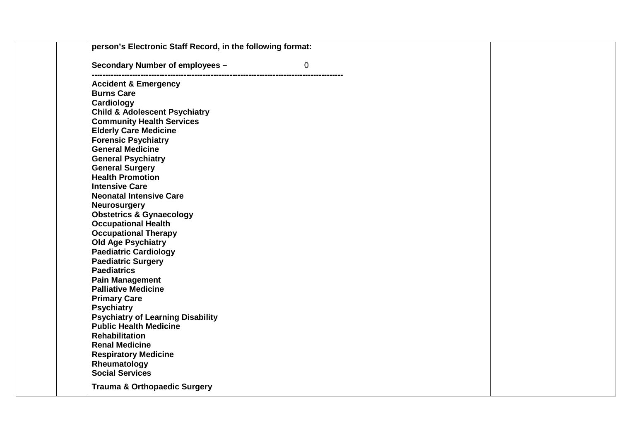| person's Electronic Staff Record, in the following format: |  |
|------------------------------------------------------------|--|
| Secondary Number of employees -<br>$\overline{0}$          |  |
| <b>Accident &amp; Emergency</b>                            |  |
| <b>Burns Care</b>                                          |  |
| Cardiology                                                 |  |
| <b>Child &amp; Adolescent Psychiatry</b>                   |  |
| <b>Community Health Services</b>                           |  |
| <b>Elderly Care Medicine</b>                               |  |
| <b>Forensic Psychiatry</b>                                 |  |
| <b>General Medicine</b>                                    |  |
| <b>General Psychiatry</b>                                  |  |
| <b>General Surgery</b>                                     |  |
| <b>Health Promotion</b>                                    |  |
| <b>Intensive Care</b>                                      |  |
| <b>Neonatal Intensive Care</b>                             |  |
| <b>Neurosurgery</b>                                        |  |
| <b>Obstetrics &amp; Gynaecology</b>                        |  |
| <b>Occupational Health</b>                                 |  |
| <b>Occupational Therapy</b>                                |  |
| <b>Old Age Psychiatry</b>                                  |  |
| <b>Paediatric Cardiology</b>                               |  |
| <b>Paediatric Surgery</b>                                  |  |
| <b>Paediatrics</b>                                         |  |
| <b>Pain Management</b>                                     |  |
| <b>Palliative Medicine</b>                                 |  |
| <b>Primary Care</b>                                        |  |
| <b>Psychiatry</b>                                          |  |
| <b>Psychiatry of Learning Disability</b>                   |  |
| <b>Public Health Medicine</b>                              |  |
| <b>Rehabilitation</b>                                      |  |
| <b>Renal Medicine</b>                                      |  |
| <b>Respiratory Medicine</b>                                |  |
| Rheumatology                                               |  |
| <b>Social Services</b>                                     |  |
| <b>Trauma &amp; Orthopaedic Surgery</b>                    |  |
|                                                            |  |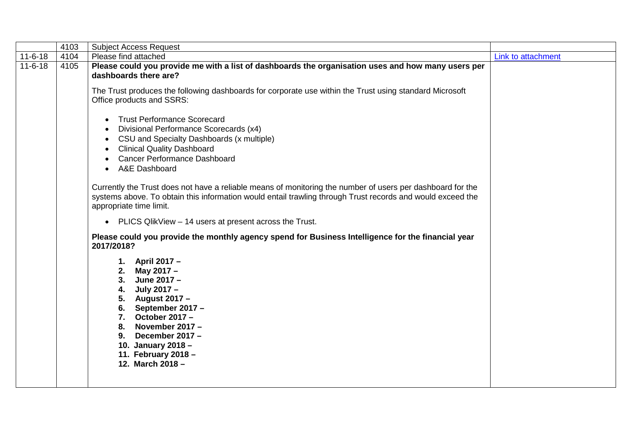| $11 - 6 - 18$<br>4104<br>Please find attached<br>Link to attachment<br>$11 - 6 - 18$<br>Please could you provide me with a list of dashboards the organisation uses and how many users per<br>4105<br>dashboards there are?<br>The Trust produces the following dashboards for corporate use within the Trust using standard Microsoft<br>Office products and SSRS:<br><b>Trust Performance Scorecard</b><br>$\bullet$<br>Divisional Performance Scorecards (x4)<br>$\bullet$<br>CSU and Specialty Dashboards (x multiple)<br>$\bullet$<br><b>Clinical Quality Dashboard</b><br>$\bullet$<br><b>Cancer Performance Dashboard</b><br>A&E Dashboard<br>Currently the Trust does not have a reliable means of monitoring the number of users per dashboard for the<br>systems above. To obtain this information would entail trawling through Trust records and would exceed the |
|-------------------------------------------------------------------------------------------------------------------------------------------------------------------------------------------------------------------------------------------------------------------------------------------------------------------------------------------------------------------------------------------------------------------------------------------------------------------------------------------------------------------------------------------------------------------------------------------------------------------------------------------------------------------------------------------------------------------------------------------------------------------------------------------------------------------------------------------------------------------------------|
|                                                                                                                                                                                                                                                                                                                                                                                                                                                                                                                                                                                                                                                                                                                                                                                                                                                                               |
|                                                                                                                                                                                                                                                                                                                                                                                                                                                                                                                                                                                                                                                                                                                                                                                                                                                                               |
|                                                                                                                                                                                                                                                                                                                                                                                                                                                                                                                                                                                                                                                                                                                                                                                                                                                                               |
|                                                                                                                                                                                                                                                                                                                                                                                                                                                                                                                                                                                                                                                                                                                                                                                                                                                                               |
|                                                                                                                                                                                                                                                                                                                                                                                                                                                                                                                                                                                                                                                                                                                                                                                                                                                                               |
|                                                                                                                                                                                                                                                                                                                                                                                                                                                                                                                                                                                                                                                                                                                                                                                                                                                                               |
|                                                                                                                                                                                                                                                                                                                                                                                                                                                                                                                                                                                                                                                                                                                                                                                                                                                                               |
|                                                                                                                                                                                                                                                                                                                                                                                                                                                                                                                                                                                                                                                                                                                                                                                                                                                                               |
|                                                                                                                                                                                                                                                                                                                                                                                                                                                                                                                                                                                                                                                                                                                                                                                                                                                                               |
| appropriate time limit.                                                                                                                                                                                                                                                                                                                                                                                                                                                                                                                                                                                                                                                                                                                                                                                                                                                       |
| PLICS QlikView - 14 users at present across the Trust.<br>$\bullet$                                                                                                                                                                                                                                                                                                                                                                                                                                                                                                                                                                                                                                                                                                                                                                                                           |
| Please could you provide the monthly agency spend for Business Intelligence for the financial year<br>2017/2018?                                                                                                                                                                                                                                                                                                                                                                                                                                                                                                                                                                                                                                                                                                                                                              |
| 1. April 2017 -                                                                                                                                                                                                                                                                                                                                                                                                                                                                                                                                                                                                                                                                                                                                                                                                                                                               |
| 2. May 2017 -                                                                                                                                                                                                                                                                                                                                                                                                                                                                                                                                                                                                                                                                                                                                                                                                                                                                 |
| 3. June 2017 -                                                                                                                                                                                                                                                                                                                                                                                                                                                                                                                                                                                                                                                                                                                                                                                                                                                                |
| 4. July 2017 -                                                                                                                                                                                                                                                                                                                                                                                                                                                                                                                                                                                                                                                                                                                                                                                                                                                                |
| 5. August 2017 -                                                                                                                                                                                                                                                                                                                                                                                                                                                                                                                                                                                                                                                                                                                                                                                                                                                              |
| 6. September 2017 $-$                                                                                                                                                                                                                                                                                                                                                                                                                                                                                                                                                                                                                                                                                                                                                                                                                                                         |
| 7. October 2017 $-$                                                                                                                                                                                                                                                                                                                                                                                                                                                                                                                                                                                                                                                                                                                                                                                                                                                           |
| 8. November 2017 -                                                                                                                                                                                                                                                                                                                                                                                                                                                                                                                                                                                                                                                                                                                                                                                                                                                            |
| 9. December 2017 -<br>10. January 2018 -                                                                                                                                                                                                                                                                                                                                                                                                                                                                                                                                                                                                                                                                                                                                                                                                                                      |
| 11. February 2018 -                                                                                                                                                                                                                                                                                                                                                                                                                                                                                                                                                                                                                                                                                                                                                                                                                                                           |
| 12. March 2018 -                                                                                                                                                                                                                                                                                                                                                                                                                                                                                                                                                                                                                                                                                                                                                                                                                                                              |
|                                                                                                                                                                                                                                                                                                                                                                                                                                                                                                                                                                                                                                                                                                                                                                                                                                                                               |
|                                                                                                                                                                                                                                                                                                                                                                                                                                                                                                                                                                                                                                                                                                                                                                                                                                                                               |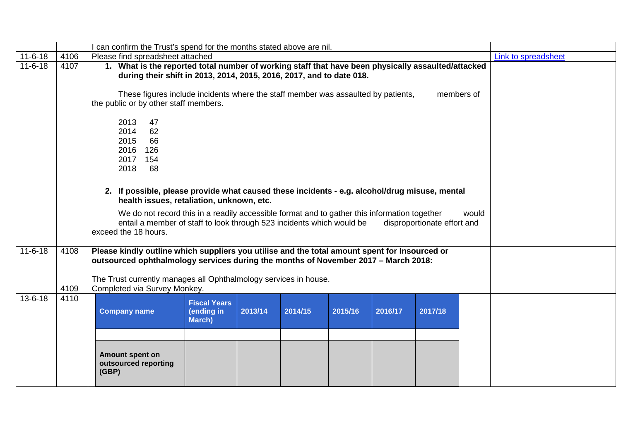|               |      | can confirm the Trust's spend for the months stated above are nil.                                                                                                                                                               |                                                                                                                                                                            |         |         |         |         |                             |       |                     |  |
|---------------|------|----------------------------------------------------------------------------------------------------------------------------------------------------------------------------------------------------------------------------------|----------------------------------------------------------------------------------------------------------------------------------------------------------------------------|---------|---------|---------|---------|-----------------------------|-------|---------------------|--|
| $11 - 6 - 18$ | 4106 | Please find spreadsheet attached                                                                                                                                                                                                 |                                                                                                                                                                            |         |         |         |         |                             |       | Link to spreadsheet |  |
| $11 - 6 - 18$ | 4107 |                                                                                                                                                                                                                                  | 1. What is the reported total number of working staff that have been physically assaulted/attacked<br>during their shift in 2013, 2014, 2015, 2016, 2017, and to date 018. |         |         |         |         |                             |       |                     |  |
|               |      | These figures include incidents where the staff member was assaulted by patients,<br>the public or by other staff members.                                                                                                       |                                                                                                                                                                            |         |         |         |         | members of                  |       |                     |  |
|               |      | 2013<br>47<br>2014<br>62<br>66<br>2015<br>2016<br>126<br>2017<br>154<br>2018<br>68<br>2. If possible, please provide what caused these incidents - e.g. alcohol/drug misuse, mental<br>health issues, retaliation, unknown, etc. |                                                                                                                                                                            |         |         |         |         |                             |       |                     |  |
|               |      | We do not record this in a readily accessible format and to gather this information together<br>entail a member of staff to look through 523 incidents which would be<br>exceed the 18 hours.                                    |                                                                                                                                                                            |         |         |         |         | disproportionate effort and | would |                     |  |
| $11 - 6 - 18$ | 4108 | Please kindly outline which suppliers you utilise and the total amount spent for Insourced or<br>outsourced ophthalmology services during the months of November 2017 - March 2018:                                              |                                                                                                                                                                            |         |         |         |         |                             |       |                     |  |
|               |      | The Trust currently manages all Ophthalmology services in house.                                                                                                                                                                 |                                                                                                                                                                            |         |         |         |         |                             |       |                     |  |
|               | 4109 | Completed via Survey Monkey.                                                                                                                                                                                                     |                                                                                                                                                                            |         |         |         |         |                             |       |                     |  |
| $13 - 6 - 18$ | 4110 | <b>Company name</b>                                                                                                                                                                                                              | <b>Fiscal Years</b><br>(ending in<br>March)                                                                                                                                | 2013/14 | 2014/15 | 2015/16 | 2016/17 | 2017/18                     |       |                     |  |
|               |      | Amount spent on<br>outsourced reporting<br>(GBP)                                                                                                                                                                                 |                                                                                                                                                                            |         |         |         |         |                             |       |                     |  |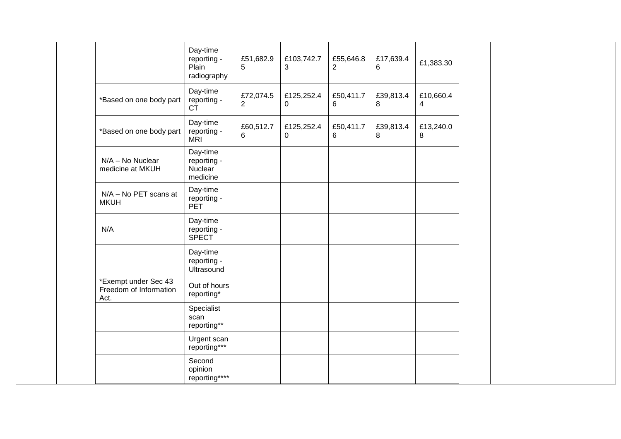|                                                        | Day-time<br>reporting -<br>Plain<br>radiography | £51,682.9<br>$5\phantom{.0}$ | £103,742.7<br>3              | £55,646.8<br>$\overline{2}$ | £17,639.4<br>6 | £1,383.30                   |  |  |
|--------------------------------------------------------|-------------------------------------------------|------------------------------|------------------------------|-----------------------------|----------------|-----------------------------|--|--|
| *Based on one body part                                | Day-time<br>reporting -<br><b>CT</b>            | £72,074.5<br>$\sqrt{2}$      | £125,252.4<br>$\overline{0}$ | £50,411.7<br>$6\phantom{1}$ | £39,813.4<br>8 | £10,660.4<br>$\overline{4}$ |  |  |
| *Based on one body part                                | Day-time<br>reporting -<br><b>MRI</b>           | £60,512.7<br>6               | £125,252.4<br>$\mathbf{0}$   | £50,411.7<br>6              | £39,813.4<br>8 | £13,240.0<br>8              |  |  |
| $N/A - No$ Nuclear<br>medicine at MKUH                 | Day-time<br>reporting -<br>Nuclear<br>medicine  |                              |                              |                             |                |                             |  |  |
| N/A - No PET scans at<br><b>MKUH</b>                   | Day-time<br>reporting -<br><b>PET</b>           |                              |                              |                             |                |                             |  |  |
| N/A                                                    | Day-time<br>reporting -<br><b>SPECT</b>         |                              |                              |                             |                |                             |  |  |
|                                                        | Day-time<br>reporting -<br>Ultrasound           |                              |                              |                             |                |                             |  |  |
| *Exempt under Sec 43<br>Freedom of Information<br>Act. | Out of hours<br>reporting*                      |                              |                              |                             |                |                             |  |  |
|                                                        | Specialist<br>scan<br>reporting**               |                              |                              |                             |                |                             |  |  |
|                                                        | Urgent scan<br>reporting***                     |                              |                              |                             |                |                             |  |  |
|                                                        | Second<br>opinion<br>reporting****              |                              |                              |                             |                |                             |  |  |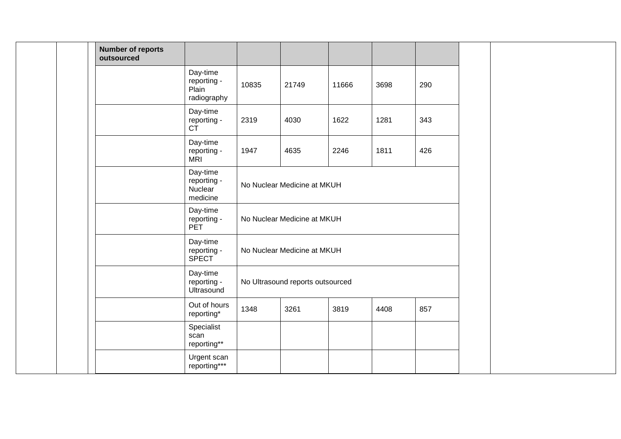| <b>Number of reports</b><br>outsourced |                                                 |       |                                  |       |      |     |  |
|----------------------------------------|-------------------------------------------------|-------|----------------------------------|-------|------|-----|--|
|                                        | Day-time<br>reporting -<br>Plain<br>radiography | 10835 | 21749                            | 11666 | 3698 | 290 |  |
|                                        | Day-time<br>reporting -<br><b>CT</b>            | 2319  | 4030                             | 1622  | 1281 | 343 |  |
|                                        | Day-time<br>reporting -<br><b>MRI</b>           | 1947  | 4635                             | 2246  | 1811 | 426 |  |
|                                        | Day-time<br>reporting -<br>Nuclear<br>medicine  |       | No Nuclear Medicine at MKUH      |       |      |     |  |
|                                        | Day-time<br>reporting -<br><b>PET</b>           |       | No Nuclear Medicine at MKUH      |       |      |     |  |
|                                        | Day-time<br>reporting -<br><b>SPECT</b>         |       | No Nuclear Medicine at MKUH      |       |      |     |  |
|                                        | Day-time<br>reporting -<br>Ultrasound           |       | No Ultrasound reports outsourced |       |      |     |  |
|                                        | Out of hours<br>reporting*                      | 1348  | 3261                             | 3819  | 4408 | 857 |  |
|                                        | Specialist<br>scan<br>reporting**               |       |                                  |       |      |     |  |
|                                        | Urgent scan<br>reporting***                     |       |                                  |       |      |     |  |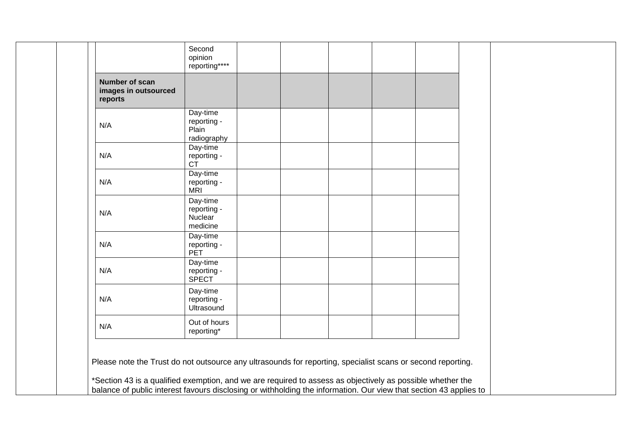| Number of scan<br>images in outsourced |                                                     |  |  |  |
|----------------------------------------|-----------------------------------------------------|--|--|--|
| reports<br>N/A                         | Day-time<br>reporting -<br>Plain                    |  |  |  |
| N/A                                    | radiography<br>Day-time<br>reporting -<br><b>CT</b> |  |  |  |
| N/A                                    | Day-time<br>reporting -<br>MRI                      |  |  |  |
| N/A                                    | Day-time<br>reporting -<br>Nuclear<br>medicine      |  |  |  |
| N/A                                    | Day-time<br>reporting -<br><b>PET</b>               |  |  |  |
| N/A                                    | Day-time<br>reporting -<br><b>SPECT</b>             |  |  |  |
| N/A                                    | Day-time<br>reporting -<br>Ultrasound               |  |  |  |
| N/A                                    | Out of hours<br>reporting*                          |  |  |  |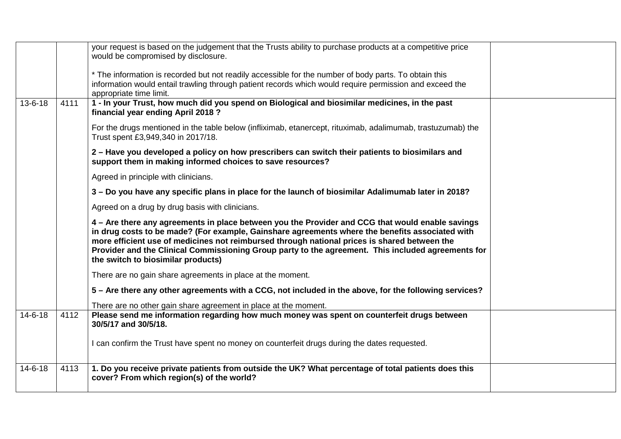|               |      | your request is based on the judgement that the Trusts ability to purchase products at a competitive price<br>would be compromised by disclosure.                                                                                                                                                                                                                                                                                               |  |
|---------------|------|-------------------------------------------------------------------------------------------------------------------------------------------------------------------------------------------------------------------------------------------------------------------------------------------------------------------------------------------------------------------------------------------------------------------------------------------------|--|
|               |      | * The information is recorded but not readily accessible for the number of body parts. To obtain this<br>information would entail trawling through patient records which would require permission and exceed the<br>appropriate time limit.                                                                                                                                                                                                     |  |
| $13 - 6 - 18$ | 4111 | 1 - In your Trust, how much did you spend on Biological and biosimilar medicines, in the past<br>financial year ending April 2018?                                                                                                                                                                                                                                                                                                              |  |
|               |      | For the drugs mentioned in the table below (infliximab, etanercept, rituximab, adalimumab, trastuzumab) the<br>Trust spent £3,949,340 in 2017/18.                                                                                                                                                                                                                                                                                               |  |
|               |      | 2 - Have you developed a policy on how prescribers can switch their patients to biosimilars and<br>support them in making informed choices to save resources?                                                                                                                                                                                                                                                                                   |  |
|               |      | Agreed in principle with clinicians.                                                                                                                                                                                                                                                                                                                                                                                                            |  |
|               |      | 3 – Do you have any specific plans in place for the launch of biosimilar Adalimumab later in 2018?                                                                                                                                                                                                                                                                                                                                              |  |
|               |      | Agreed on a drug by drug basis with clinicians.                                                                                                                                                                                                                                                                                                                                                                                                 |  |
|               |      | 4 – Are there any agreements in place between you the Provider and CCG that would enable savings<br>in drug costs to be made? (For example, Gainshare agreements where the benefits associated with<br>more efficient use of medicines not reimbursed through national prices is shared between the<br>Provider and the Clinical Commissioning Group party to the agreement. This included agreements for<br>the switch to biosimilar products) |  |
|               |      | There are no gain share agreements in place at the moment.                                                                                                                                                                                                                                                                                                                                                                                      |  |
|               |      | 5 – Are there any other agreements with a CCG, not included in the above, for the following services?                                                                                                                                                                                                                                                                                                                                           |  |
|               |      | There are no other gain share agreement in place at the moment.                                                                                                                                                                                                                                                                                                                                                                                 |  |
| $14 - 6 - 18$ | 4112 | Please send me information regarding how much money was spent on counterfeit drugs between<br>30/5/17 and 30/5/18.                                                                                                                                                                                                                                                                                                                              |  |
|               |      | I can confirm the Trust have spent no money on counterfeit drugs during the dates requested.                                                                                                                                                                                                                                                                                                                                                    |  |
| $14 - 6 - 18$ | 4113 | 1. Do you receive private patients from outside the UK? What percentage of total patients does this<br>cover? From which region(s) of the world?                                                                                                                                                                                                                                                                                                |  |
|               |      |                                                                                                                                                                                                                                                                                                                                                                                                                                                 |  |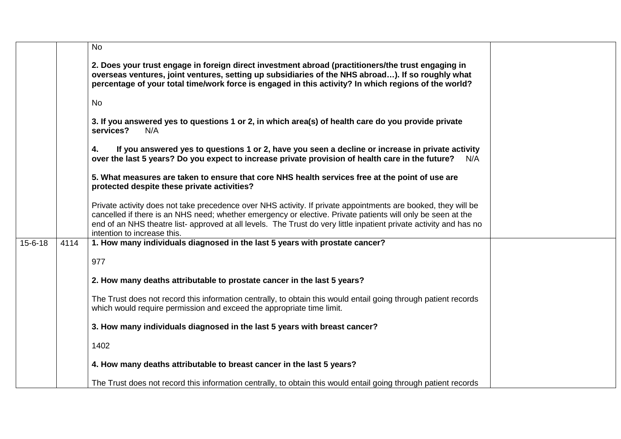|               |      | <b>No</b>                                                                                                                                                                                                                                                                                                                                                                         |
|---------------|------|-----------------------------------------------------------------------------------------------------------------------------------------------------------------------------------------------------------------------------------------------------------------------------------------------------------------------------------------------------------------------------------|
|               |      | 2. Does your trust engage in foreign direct investment abroad (practitioners/the trust engaging in<br>overseas ventures, joint ventures, setting up subsidiaries of the NHS abroad). If so roughly what<br>percentage of your total time/work force is engaged in this activity? In which regions of the world?                                                                   |
|               |      | <b>No</b>                                                                                                                                                                                                                                                                                                                                                                         |
|               |      | 3. If you answered yes to questions 1 or 2, in which area(s) of health care do you provide private<br>services?<br>N/A                                                                                                                                                                                                                                                            |
|               |      | If you answered yes to questions 1 or 2, have you seen a decline or increase in private activity<br>4.<br>over the last 5 years? Do you expect to increase private provision of health care in the future?<br>N/A                                                                                                                                                                 |
|               |      | 5. What measures are taken to ensure that core NHS health services free at the point of use are<br>protected despite these private activities?                                                                                                                                                                                                                                    |
|               |      | Private activity does not take precedence over NHS activity. If private appointments are booked, they will be<br>cancelled if there is an NHS need; whether emergency or elective. Private patients will only be seen at the<br>end of an NHS theatre list- approved at all levels. The Trust do very little inpatient private activity and has no<br>intention to increase this. |
| $15 - 6 - 18$ | 4114 | 1. How many individuals diagnosed in the last 5 years with prostate cancer?                                                                                                                                                                                                                                                                                                       |
|               |      | 977                                                                                                                                                                                                                                                                                                                                                                               |
|               |      | 2. How many deaths attributable to prostate cancer in the last 5 years?                                                                                                                                                                                                                                                                                                           |
|               |      | The Trust does not record this information centrally, to obtain this would entail going through patient records<br>which would require permission and exceed the appropriate time limit.                                                                                                                                                                                          |
|               |      | 3. How many individuals diagnosed in the last 5 years with breast cancer?                                                                                                                                                                                                                                                                                                         |
|               |      | 1402                                                                                                                                                                                                                                                                                                                                                                              |
|               |      | 4. How many deaths attributable to breast cancer in the last 5 years?                                                                                                                                                                                                                                                                                                             |
|               |      | The Trust does not record this information centrally, to obtain this would entail going through patient records                                                                                                                                                                                                                                                                   |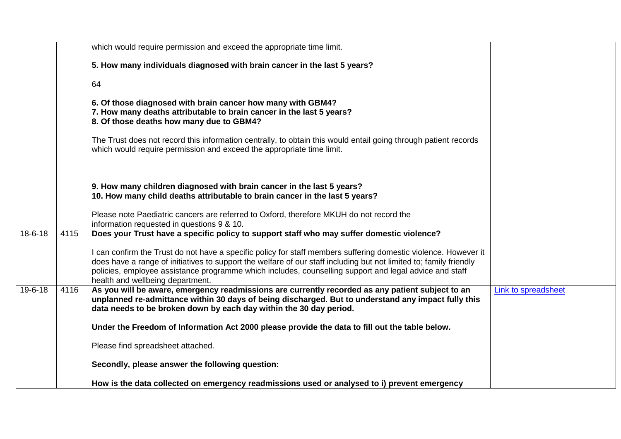|               |      | which would require permission and exceed the appropriate time limit.                                                                                                                                                                                                                                                                                                                                                                                                            |                     |
|---------------|------|----------------------------------------------------------------------------------------------------------------------------------------------------------------------------------------------------------------------------------------------------------------------------------------------------------------------------------------------------------------------------------------------------------------------------------------------------------------------------------|---------------------|
|               |      | 5. How many individuals diagnosed with brain cancer in the last 5 years?                                                                                                                                                                                                                                                                                                                                                                                                         |                     |
|               |      | 64                                                                                                                                                                                                                                                                                                                                                                                                                                                                               |                     |
|               |      | 6. Of those diagnosed with brain cancer how many with GBM4?<br>7. How many deaths attributable to brain cancer in the last 5 years?<br>8. Of those deaths how many due to GBM4?                                                                                                                                                                                                                                                                                                  |                     |
|               |      | The Trust does not record this information centrally, to obtain this would entail going through patient records<br>which would require permission and exceed the appropriate time limit.                                                                                                                                                                                                                                                                                         |                     |
|               |      | 9. How many children diagnosed with brain cancer in the last 5 years?<br>10. How many child deaths attributable to brain cancer in the last 5 years?                                                                                                                                                                                                                                                                                                                             |                     |
|               |      | Please note Paediatric cancers are referred to Oxford, therefore MKUH do not record the<br>information requested in questions 9 & 10.                                                                                                                                                                                                                                                                                                                                            |                     |
| $18 - 6 - 18$ | 4115 | Does your Trust have a specific policy to support staff who may suffer domestic violence?<br>I can confirm the Trust do not have a specific policy for staff members suffering domestic violence. However it<br>does have a range of initiatives to support the welfare of our staff including but not limited to; family friendly<br>policies, employee assistance programme which includes, counselling support and legal advice and staff<br>health and wellbeing department. |                     |
| 19-6-18       | 4116 | As you will be aware, emergency readmissions are currently recorded as any patient subject to an<br>unplanned re-admittance within 30 days of being discharged. But to understand any impact fully this<br>data needs to be broken down by each day within the 30 day period.                                                                                                                                                                                                    | Link to spreadsheet |
|               |      | Under the Freedom of Information Act 2000 please provide the data to fill out the table below.                                                                                                                                                                                                                                                                                                                                                                                   |                     |
|               |      | Please find spreadsheet attached.                                                                                                                                                                                                                                                                                                                                                                                                                                                |                     |
|               |      | Secondly, please answer the following question:                                                                                                                                                                                                                                                                                                                                                                                                                                  |                     |
|               |      | How is the data collected on emergency readmissions used or analysed to i) prevent emergency                                                                                                                                                                                                                                                                                                                                                                                     |                     |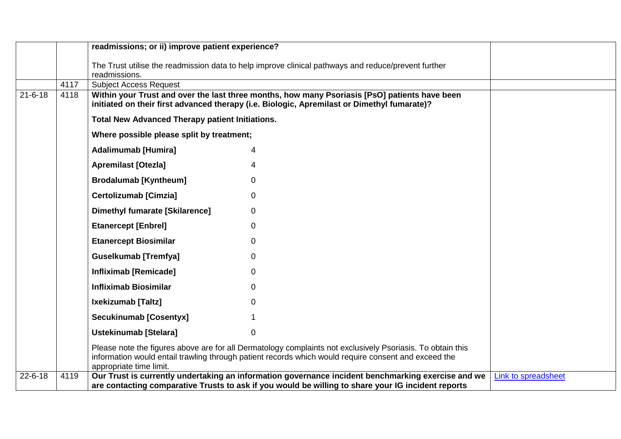|               |      | readmissions; or ii) improve patient experience?                                                                                |                                                                                                            |                     |
|---------------|------|---------------------------------------------------------------------------------------------------------------------------------|------------------------------------------------------------------------------------------------------------|---------------------|
|               |      | The Trust utilise the readmission data to help improve clinical pathways and reduce/prevent further                             |                                                                                                            |                     |
|               |      | readmissions.                                                                                                                   |                                                                                                            |                     |
|               | 4117 | <b>Subject Access Request</b>                                                                                                   |                                                                                                            |                     |
| $21 - 6 - 18$ | 4118 | initiated on their first advanced therapy (i.e. Biologic, Apremilast or Dimethyl fumarate)?                                     | Within your Trust and over the last three months, how many Psoriasis [PsO] patients have been              |                     |
|               |      | <b>Total New Advanced Therapy patient Initiations.</b>                                                                          |                                                                                                            |                     |
|               |      | Where possible please split by treatment;                                                                                       |                                                                                                            |                     |
|               |      | <b>Adalimumab [Humira]</b><br>4                                                                                                 |                                                                                                            |                     |
|               |      | <b>Apremilast [Otezla]</b><br>4                                                                                                 |                                                                                                            |                     |
|               |      | <b>Brodalumab [Kyntheum]</b><br>0                                                                                               |                                                                                                            |                     |
|               |      | <b>Certolizumab [Cimzia]</b><br>$\mathbf 0$                                                                                     |                                                                                                            |                     |
|               |      | <b>Dimethyl fumarate [Skilarence]</b><br>0                                                                                      |                                                                                                            |                     |
|               |      | <b>Etanercept [Enbrel]</b><br>$\Omega$                                                                                          |                                                                                                            |                     |
|               |      | <b>Etanercept Biosimilar</b><br>0                                                                                               |                                                                                                            |                     |
|               |      | <b>Guselkumab [Tremfya]</b><br>$\Omega$                                                                                         |                                                                                                            |                     |
|               |      | <b>Infliximab [Remicade]</b><br>$\Omega$                                                                                        |                                                                                                            |                     |
|               |      | <b>Infliximab Biosimilar</b><br>$\Omega$                                                                                        |                                                                                                            |                     |
|               |      | Ixekizumab [Taltz]<br>$\Omega$                                                                                                  |                                                                                                            |                     |
|               |      | <b>Secukinumab [Cosentyx]</b>                                                                                                   |                                                                                                            |                     |
|               |      | <b>Ustekinumab [Stelara]</b><br>$\Omega$                                                                                        |                                                                                                            |                     |
|               |      | information would entail trawling through patient records which would require consent and exceed the<br>appropriate time limit. | Please note the figures above are for all Dermatology complaints not exclusively Psoriasis. To obtain this |                     |
| $22 - 6 - 18$ | 4119 |                                                                                                                                 | Our Trust is currently undertaking an information governance incident benchmarking exercise and we         | Link to spreadsheet |
|               |      |                                                                                                                                 | are contacting comparative Trusts to ask if you would be willing to share your IG incident reports         |                     |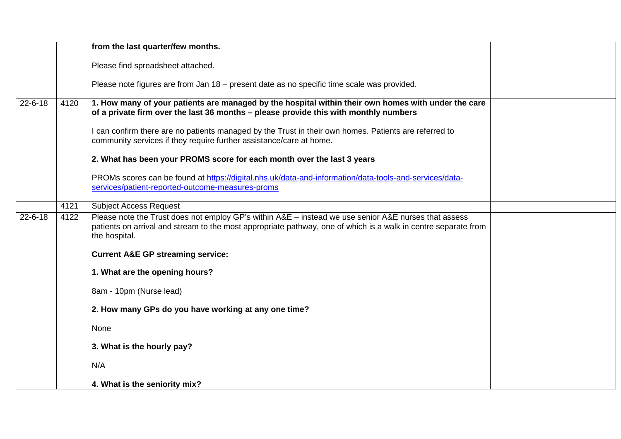|               |      | from the last quarter/few months.                                                                                                                                                                                                       |  |
|---------------|------|-----------------------------------------------------------------------------------------------------------------------------------------------------------------------------------------------------------------------------------------|--|
|               |      | Please find spreadsheet attached.                                                                                                                                                                                                       |  |
|               |      | Please note figures are from Jan 18 – present date as no specific time scale was provided.                                                                                                                                              |  |
| $22 - 6 - 18$ | 4120 | 1. How many of your patients are managed by the hospital within their own homes with under the care<br>of a private firm over the last 36 months – please provide this with monthly numbers                                             |  |
|               |      | I can confirm there are no patients managed by the Trust in their own homes. Patients are referred to<br>community services if they require further assistance/care at home.                                                            |  |
|               |      | 2. What has been your PROMS score for each month over the last 3 years                                                                                                                                                                  |  |
|               |      | PROMs scores can be found at https://digital.nhs.uk/data-and-information/data-tools-and-services/data-<br>services/patient-reported-outcome-measures-proms                                                                              |  |
|               | 4121 | <b>Subject Access Request</b>                                                                                                                                                                                                           |  |
| $22 - 6 - 18$ | 4122 | Please note the Trust does not employ GP's within A&E - instead we use senior A&E nurses that assess<br>patients on arrival and stream to the most appropriate pathway, one of which is a walk in centre separate from<br>the hospital. |  |
|               |      | <b>Current A&amp;E GP streaming service:</b>                                                                                                                                                                                            |  |
|               |      | 1. What are the opening hours?                                                                                                                                                                                                          |  |
|               |      | 8am - 10pm (Nurse lead)                                                                                                                                                                                                                 |  |
|               |      | 2. How many GPs do you have working at any one time?                                                                                                                                                                                    |  |
|               |      | None                                                                                                                                                                                                                                    |  |
|               |      | 3. What is the hourly pay?                                                                                                                                                                                                              |  |
|               |      | N/A                                                                                                                                                                                                                                     |  |
|               |      | 4. What is the seniority mix?                                                                                                                                                                                                           |  |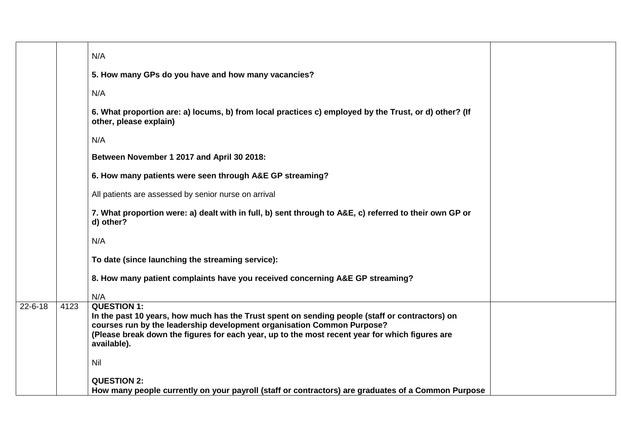|               |      | N/A                                                                                                                                                                                                                                                                                                             |
|---------------|------|-----------------------------------------------------------------------------------------------------------------------------------------------------------------------------------------------------------------------------------------------------------------------------------------------------------------|
|               |      | 5. How many GPs do you have and how many vacancies?                                                                                                                                                                                                                                                             |
|               |      | N/A                                                                                                                                                                                                                                                                                                             |
|               |      | 6. What proportion are: a) locums, b) from local practices c) employed by the Trust, or d) other? (If<br>other, please explain)                                                                                                                                                                                 |
|               |      | N/A                                                                                                                                                                                                                                                                                                             |
|               |      | Between November 1 2017 and April 30 2018:                                                                                                                                                                                                                                                                      |
|               |      | 6. How many patients were seen through A&E GP streaming?                                                                                                                                                                                                                                                        |
|               |      | All patients are assessed by senior nurse on arrival                                                                                                                                                                                                                                                            |
|               |      | 7. What proportion were: a) dealt with in full, b) sent through to A&E, c) referred to their own GP or<br>d) other?                                                                                                                                                                                             |
|               |      | N/A                                                                                                                                                                                                                                                                                                             |
|               |      | To date (since launching the streaming service):                                                                                                                                                                                                                                                                |
|               |      | 8. How many patient complaints have you received concerning A&E GP streaming?                                                                                                                                                                                                                                   |
|               |      | N/A                                                                                                                                                                                                                                                                                                             |
| $22 - 6 - 18$ | 4123 | <b>QUESTION 1:</b><br>In the past 10 years, how much has the Trust spent on sending people (staff or contractors) on<br>courses run by the leadership development organisation Common Purpose?<br>(Please break down the figures for each year, up to the most recent year for which figures are<br>available). |
|               |      | Nil                                                                                                                                                                                                                                                                                                             |
|               |      | <b>QUESTION 2:</b><br>How many people currently on your payroll (staff or contractors) are graduates of a Common Purpose                                                                                                                                                                                        |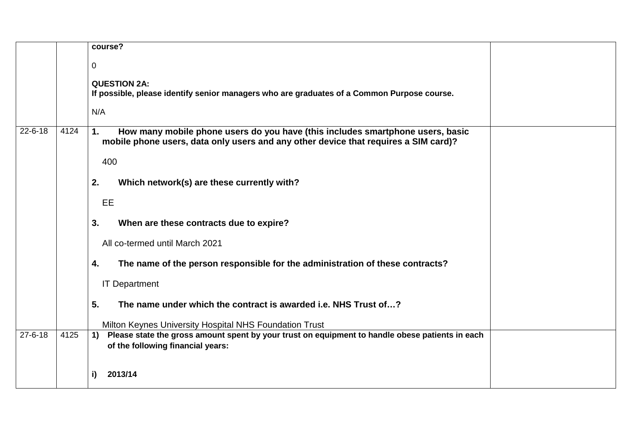|               |      | course?                                                                                                                                                                     |
|---------------|------|-----------------------------------------------------------------------------------------------------------------------------------------------------------------------------|
|               |      | 0                                                                                                                                                                           |
|               |      | <b>QUESTION 2A:</b><br>If possible, please identify senior managers who are graduates of a Common Purpose course.                                                           |
|               |      | N/A                                                                                                                                                                         |
| $22 - 6 - 18$ | 4124 | How many mobile phone users do you have (this includes smartphone users, basic<br>1.<br>mobile phone users, data only users and any other device that requires a SIM card)? |
|               |      | 400                                                                                                                                                                         |
|               |      | Which network(s) are these currently with?<br>2.                                                                                                                            |
|               |      | <b>EE</b>                                                                                                                                                                   |
|               |      | 3.<br>When are these contracts due to expire?                                                                                                                               |
|               |      | All co-termed until March 2021                                                                                                                                              |
|               |      | The name of the person responsible for the administration of these contracts?<br>4.                                                                                         |
|               |      | <b>IT Department</b>                                                                                                                                                        |
|               |      | 5.<br>The name under which the contract is awarded i.e. NHS Trust of?                                                                                                       |
|               |      | Milton Keynes University Hospital NHS Foundation Trust                                                                                                                      |
| $27 - 6 - 18$ | 4125 | Please state the gross amount spent by your trust on equipment to handle obese patients in each<br>$\left( \mathbf{1}\right)$<br>of the following financial years:          |
|               |      | 2013/14<br>i)                                                                                                                                                               |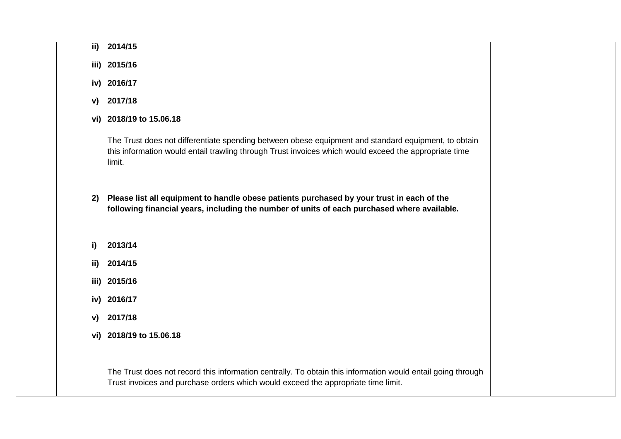|    | ii) 2014/15                                                                                                                                                                                                            |  |
|----|------------------------------------------------------------------------------------------------------------------------------------------------------------------------------------------------------------------------|--|
|    | iii) 2015/16                                                                                                                                                                                                           |  |
|    | iv) 2016/17                                                                                                                                                                                                            |  |
|    | v) 2017/18                                                                                                                                                                                                             |  |
|    | vi) 2018/19 to 15.06.18                                                                                                                                                                                                |  |
|    | The Trust does not differentiate spending between obese equipment and standard equipment, to obtain<br>this information would entail trawling through Trust invoices which would exceed the appropriate time<br>limit. |  |
| 2) | Please list all equipment to handle obese patients purchased by your trust in each of the<br>following financial years, including the number of units of each purchased where available.                               |  |
| i) | 2013/14                                                                                                                                                                                                                |  |
|    | ii) 2014/15                                                                                                                                                                                                            |  |
|    | iii) 2015/16                                                                                                                                                                                                           |  |
|    | iv) 2016/17                                                                                                                                                                                                            |  |
|    | v) 2017/18                                                                                                                                                                                                             |  |
|    | vi) 2018/19 to 15.06.18                                                                                                                                                                                                |  |
|    | The Trust does not record this information centrally. To obtain this information would entail going through<br>Trust invoices and purchase orders which would exceed the appropriate time limit.                       |  |
|    |                                                                                                                                                                                                                        |  |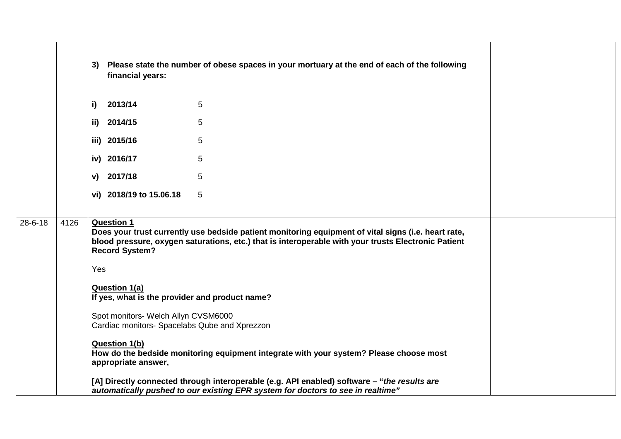|               |      | 3) Please state the number of obese spaces in your mortuary at the end of each of the following<br>financial years:                                                                                                                                      |
|---------------|------|----------------------------------------------------------------------------------------------------------------------------------------------------------------------------------------------------------------------------------------------------------|
|               |      | $i)$ 2013/14<br>5                                                                                                                                                                                                                                        |
|               |      | 5<br>ii) 2014/15                                                                                                                                                                                                                                         |
|               |      | 5<br>iii) 2015/16                                                                                                                                                                                                                                        |
|               |      | 5<br>iv) 2016/17                                                                                                                                                                                                                                         |
|               |      | v) 2017/18<br>5                                                                                                                                                                                                                                          |
|               |      | vi) 2018/19 to 15.06.18<br>5                                                                                                                                                                                                                             |
|               |      |                                                                                                                                                                                                                                                          |
| $28 - 6 - 18$ | 4126 | <b>Question 1</b><br>Does your trust currently use bedside patient monitoring equipment of vital signs (i.e. heart rate,<br>blood pressure, oxygen saturations, etc.) that is interoperable with your trusts Electronic Patient<br><b>Record System?</b> |
|               |      | Yes                                                                                                                                                                                                                                                      |
|               |      | <b>Question 1(a)</b><br>If yes, what is the provider and product name?                                                                                                                                                                                   |
|               |      | Spot monitors- Welch Allyn CVSM6000<br>Cardiac monitors- Spacelabs Qube and Xprezzon                                                                                                                                                                     |
|               |      | <b>Question 1(b)</b><br>How do the bedside monitoring equipment integrate with your system? Please choose most<br>appropriate answer,                                                                                                                    |
|               |      | [A] Directly connected through interoperable (e.g. API enabled) software - "the results are<br>automatically pushed to our existing EPR system for doctors to see in realtime"                                                                           |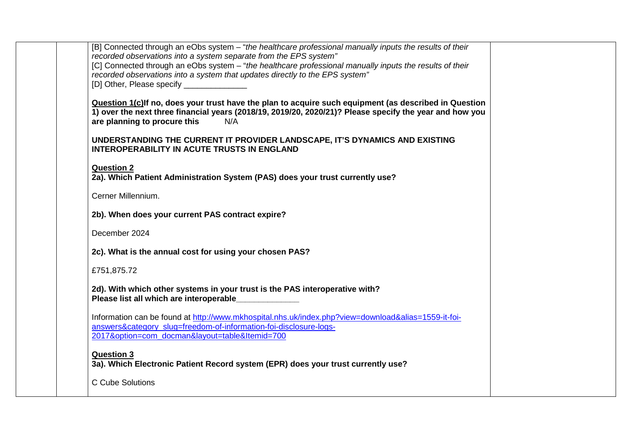| [B] Connected through an eObs system - "the healthcare professional manually inputs the results of their<br>recorded observations into a system separate from the EPS system"<br>[C] Connected through an eObs system - "the healthcare professional manually inputs the results of their<br>recorded observations into a system that updates directly to the EPS system"<br>[D] Other, Please specify _______________ |  |
|------------------------------------------------------------------------------------------------------------------------------------------------------------------------------------------------------------------------------------------------------------------------------------------------------------------------------------------------------------------------------------------------------------------------|--|
| Question 1(c) If no, does your trust have the plan to acquire such equipment (as described in Question<br>1) over the next three financial years (2018/19, 2019/20, 2020/21)? Please specify the year and how you<br>are planning to procure this<br>N/A                                                                                                                                                               |  |
| UNDERSTANDING THE CURRENT IT PROVIDER LANDSCAPE, IT'S DYNAMICS AND EXISTING<br><b>INTEROPERABILITY IN ACUTE TRUSTS IN ENGLAND</b>                                                                                                                                                                                                                                                                                      |  |
| <b>Question 2</b><br>2a). Which Patient Administration System (PAS) does your trust currently use?                                                                                                                                                                                                                                                                                                                     |  |
| Cerner Millennium.                                                                                                                                                                                                                                                                                                                                                                                                     |  |
| 2b). When does your current PAS contract expire?                                                                                                                                                                                                                                                                                                                                                                       |  |
| December 2024                                                                                                                                                                                                                                                                                                                                                                                                          |  |
| 2c). What is the annual cost for using your chosen PAS?                                                                                                                                                                                                                                                                                                                                                                |  |
| £751,875.72                                                                                                                                                                                                                                                                                                                                                                                                            |  |
| 2d). With which other systems in your trust is the PAS interoperative with?<br>Please list all which are interoperable                                                                                                                                                                                                                                                                                                 |  |
| Information can be found at http://www.mkhospital.nhs.uk/index.php?view=download&alias=1559-it-foi-<br>answers&category_slug=freedom-of-information-foi-disclosure-logs-<br>2017&option=com docman&layout=table&Itemid=700                                                                                                                                                                                             |  |
| <b>Question 3</b><br>3a). Which Electronic Patient Record system (EPR) does your trust currently use?                                                                                                                                                                                                                                                                                                                  |  |
| C Cube Solutions                                                                                                                                                                                                                                                                                                                                                                                                       |  |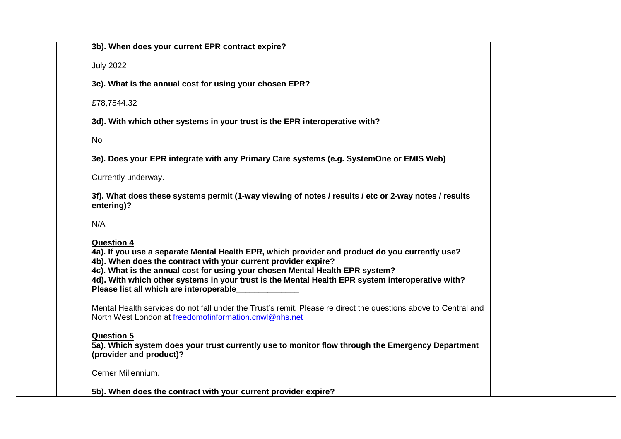| 3b). When does your current EPR contract expire?                                                                                                                                                                                                                                                                                                                                                                     |
|----------------------------------------------------------------------------------------------------------------------------------------------------------------------------------------------------------------------------------------------------------------------------------------------------------------------------------------------------------------------------------------------------------------------|
| <b>July 2022</b>                                                                                                                                                                                                                                                                                                                                                                                                     |
| 3c). What is the annual cost for using your chosen EPR?                                                                                                                                                                                                                                                                                                                                                              |
| £78,7544.32                                                                                                                                                                                                                                                                                                                                                                                                          |
| 3d). With which other systems in your trust is the EPR interoperative with?                                                                                                                                                                                                                                                                                                                                          |
| <b>No</b>                                                                                                                                                                                                                                                                                                                                                                                                            |
| 3e). Does your EPR integrate with any Primary Care systems (e.g. SystemOne or EMIS Web)                                                                                                                                                                                                                                                                                                                              |
| Currently underway.                                                                                                                                                                                                                                                                                                                                                                                                  |
| 3f). What does these systems permit (1-way viewing of notes / results / etc or 2-way notes / results<br>entering)?                                                                                                                                                                                                                                                                                                   |
| N/A                                                                                                                                                                                                                                                                                                                                                                                                                  |
| <b>Question 4</b><br>4a). If you use a separate Mental Health EPR, which provider and product do you currently use?<br>4b). When does the contract with your current provider expire?<br>4c). What is the annual cost for using your chosen Mental Health EPR system?<br>4d). With which other systems in your trust is the Mental Health EPR system interoperative with?<br>Please list all which are interoperable |
| Mental Health services do not fall under the Trust's remit. Please re direct the questions above to Central and<br>North West London at freedomofinformation.cnwl@nhs.net                                                                                                                                                                                                                                            |
| <b>Question 5</b><br>5a). Which system does your trust currently use to monitor flow through the Emergency Department<br>(provider and product)?                                                                                                                                                                                                                                                                     |
| Cerner Millennium.                                                                                                                                                                                                                                                                                                                                                                                                   |
| 5b). When does the contract with your current provider expire?                                                                                                                                                                                                                                                                                                                                                       |
|                                                                                                                                                                                                                                                                                                                                                                                                                      |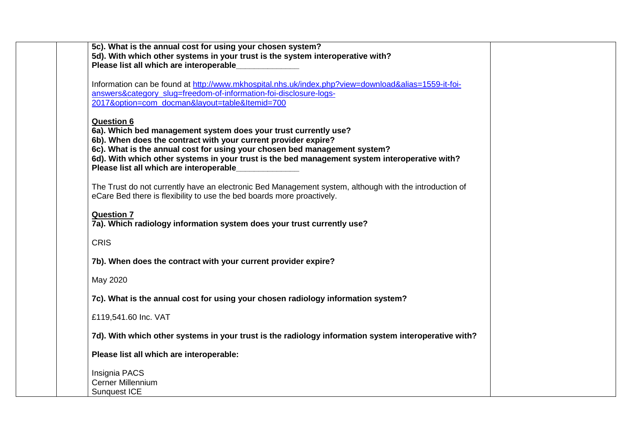| 5c). What is the annual cost for using your chosen system?<br>5d). With which other systems in your trust is the system interoperative with?<br>Please list all which are interoperable                                                                                                                                                                                         |
|---------------------------------------------------------------------------------------------------------------------------------------------------------------------------------------------------------------------------------------------------------------------------------------------------------------------------------------------------------------------------------|
| Information can be found at http://www.mkhospital.nhs.uk/index.php?view=download&alias=1559-it-foi-<br>answers&category_slug=freedom-of-information-foi-disclosure-logs-<br>2017&option=com docman&layout=table&Itemid=700                                                                                                                                                      |
| <b>Question 6</b><br>6a). Which bed management system does your trust currently use?<br>6b). When does the contract with your current provider expire?<br>6c). What is the annual cost for using your chosen bed management system?<br>6d). With which other systems in your trust is the bed management system interoperative with?<br>Please list all which are interoperable |
| The Trust do not currently have an electronic Bed Management system, although with the introduction of<br>eCare Bed there is flexibility to use the bed boards more proactively.                                                                                                                                                                                                |
| <b>Question 7</b><br>7a). Which radiology information system does your trust currently use?                                                                                                                                                                                                                                                                                     |
| <b>CRIS</b>                                                                                                                                                                                                                                                                                                                                                                     |
| 7b). When does the contract with your current provider expire?                                                                                                                                                                                                                                                                                                                  |
| May 2020                                                                                                                                                                                                                                                                                                                                                                        |
| 7c). What is the annual cost for using your chosen radiology information system?                                                                                                                                                                                                                                                                                                |
| £119,541.60 Inc. VAT                                                                                                                                                                                                                                                                                                                                                            |
| 7d). With which other systems in your trust is the radiology information system interoperative with?                                                                                                                                                                                                                                                                            |
| Please list all which are interoperable:                                                                                                                                                                                                                                                                                                                                        |
| Insignia PACS<br><b>Cerner Millennium</b><br>Sunquest ICE                                                                                                                                                                                                                                                                                                                       |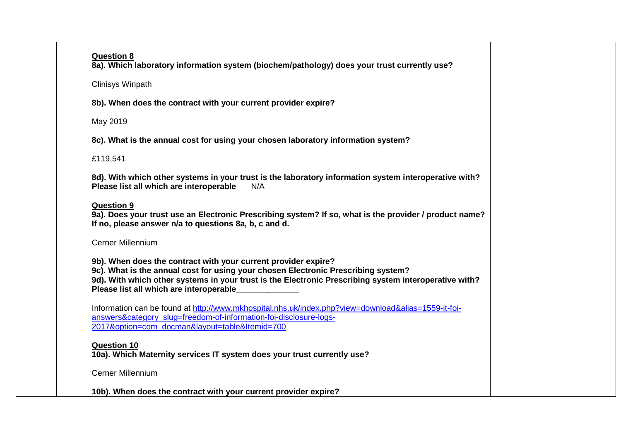| <b>Question 8</b><br>8a). Which laboratory information system (biochem/pathology) does your trust currently use?                                                                                                                                                                                        |
|---------------------------------------------------------------------------------------------------------------------------------------------------------------------------------------------------------------------------------------------------------------------------------------------------------|
| <b>Clinisys Winpath</b>                                                                                                                                                                                                                                                                                 |
| 8b). When does the contract with your current provider expire?                                                                                                                                                                                                                                          |
| May 2019                                                                                                                                                                                                                                                                                                |
| 8c). What is the annual cost for using your chosen laboratory information system?                                                                                                                                                                                                                       |
| £119,541                                                                                                                                                                                                                                                                                                |
| 8d). With which other systems in your trust is the laboratory information system interoperative with?<br>Please list all which are interoperable<br>N/A                                                                                                                                                 |
| <b>Question 9</b><br>9a). Does your trust use an Electronic Prescribing system? If so, what is the provider / product name?<br>If no, please answer n/a to questions 8a, b, c and d.                                                                                                                    |
| <b>Cerner Millennium</b>                                                                                                                                                                                                                                                                                |
| 9b). When does the contract with your current provider expire?<br>9c). What is the annual cost for using your chosen Electronic Prescribing system?<br>9d). With which other systems in your trust is the Electronic Prescribing system interoperative with?<br>Please list all which are interoperable |
| Information can be found at http://www.mkhospital.nhs.uk/index.php?view=download&alias=1559-it-foi-<br>answers&category_slug=freedom-of-information-foi-disclosure-logs-<br>2017&option=com_docman&layout=table&Itemid=700                                                                              |
| <b>Question 10</b><br>10a). Which Maternity services IT system does your trust currently use?                                                                                                                                                                                                           |
| Cerner Millennium                                                                                                                                                                                                                                                                                       |
| 10b). When does the contract with your current provider expire?                                                                                                                                                                                                                                         |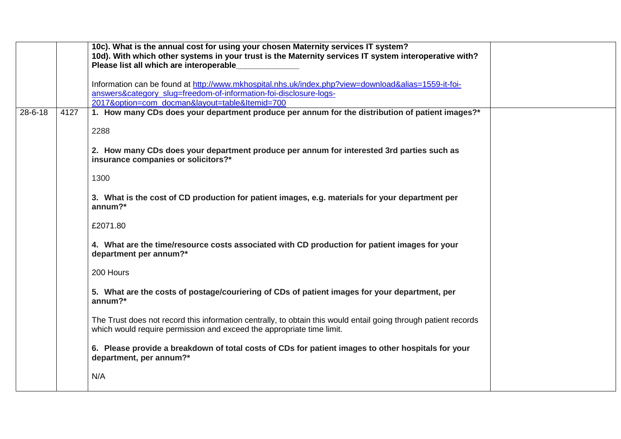|               |      | 10c). What is the annual cost for using your chosen Maternity services IT system?                                                                                                        |  |
|---------------|------|------------------------------------------------------------------------------------------------------------------------------------------------------------------------------------------|--|
|               |      | 10d). With which other systems in your trust is the Maternity services IT system interoperative with?<br>Please list all which are interoperable                                         |  |
|               |      |                                                                                                                                                                                          |  |
|               |      | Information can be found at http://www.mkhospital.nhs.uk/index.php?view=download&alias=1559-it-foi-                                                                                      |  |
|               |      | answers&category_slug=freedom-of-information-foi-disclosure-logs-<br>2017&option=com docman&layout=table&Itemid=700                                                                      |  |
| $28 - 6 - 18$ | 4127 | 1. How many CDs does your department produce per annum for the distribution of patient images?*                                                                                          |  |
|               |      |                                                                                                                                                                                          |  |
|               |      | 2288                                                                                                                                                                                     |  |
|               |      | 2. How many CDs does your department produce per annum for interested 3rd parties such as                                                                                                |  |
|               |      | insurance companies or solicitors?*                                                                                                                                                      |  |
|               |      | 1300                                                                                                                                                                                     |  |
|               |      |                                                                                                                                                                                          |  |
|               |      | 3. What is the cost of CD production for patient images, e.g. materials for your department per<br>$annum?*$                                                                             |  |
|               |      |                                                                                                                                                                                          |  |
|               |      | £2071.80                                                                                                                                                                                 |  |
|               |      | 4. What are the time/resource costs associated with CD production for patient images for your<br>department per annum?*                                                                  |  |
|               |      | 200 Hours                                                                                                                                                                                |  |
|               |      | 5. What are the costs of postage/couriering of CDs of patient images for your department, per<br>annum? $*$                                                                              |  |
|               |      | The Trust does not record this information centrally, to obtain this would entail going through patient records<br>which would require permission and exceed the appropriate time limit. |  |
|               |      | 6. Please provide a breakdown of total costs of CDs for patient images to other hospitals for your<br>department, per annum?*                                                            |  |
|               |      | N/A                                                                                                                                                                                      |  |
|               |      |                                                                                                                                                                                          |  |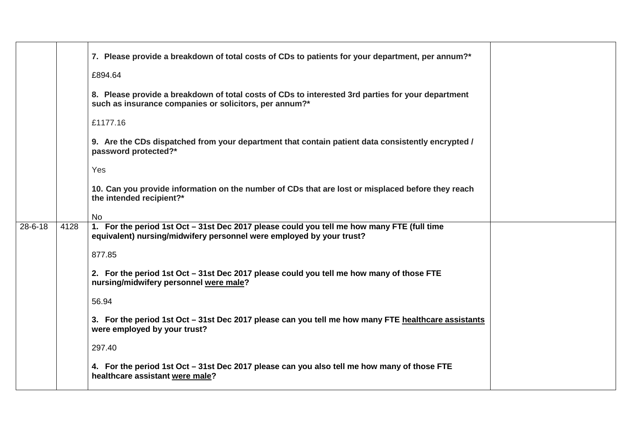|               |      | 7. Please provide a breakdown of total costs of CDs to patients for your department, per annum?*                                                                   |  |
|---------------|------|--------------------------------------------------------------------------------------------------------------------------------------------------------------------|--|
|               |      | £894.64                                                                                                                                                            |  |
|               |      | 8. Please provide a breakdown of total costs of CDs to interested 3rd parties for your department<br>such as insurance companies or solicitors, per annum?*        |  |
|               |      | £1177.16                                                                                                                                                           |  |
|               |      | 9. Are the CDs dispatched from your department that contain patient data consistently encrypted /<br>password protected?*                                          |  |
|               |      | Yes                                                                                                                                                                |  |
|               |      | 10. Can you provide information on the number of CDs that are lost or misplaced before they reach<br>the intended recipient?*                                      |  |
|               |      | <b>No</b>                                                                                                                                                          |  |
| $28 - 6 - 18$ | 4128 | 1. For the period 1st Oct - 31st Dec 2017 please could you tell me how many FTE (full time<br>equivalent) nursing/midwifery personnel were employed by your trust? |  |
|               |      | 877.85                                                                                                                                                             |  |
|               |      | 2. For the period 1st Oct - 31st Dec 2017 please could you tell me how many of those FTE<br>nursing/midwifery personnel were male?                                 |  |
|               |      | 56.94                                                                                                                                                              |  |
|               |      | 3. For the period 1st Oct - 31st Dec 2017 please can you tell me how many FTE healthcare assistants<br>were employed by your trust?                                |  |
|               |      | 297.40                                                                                                                                                             |  |
|               |      | 4. For the period 1st Oct - 31st Dec 2017 please can you also tell me how many of those FTE<br>healthcare assistant were male?                                     |  |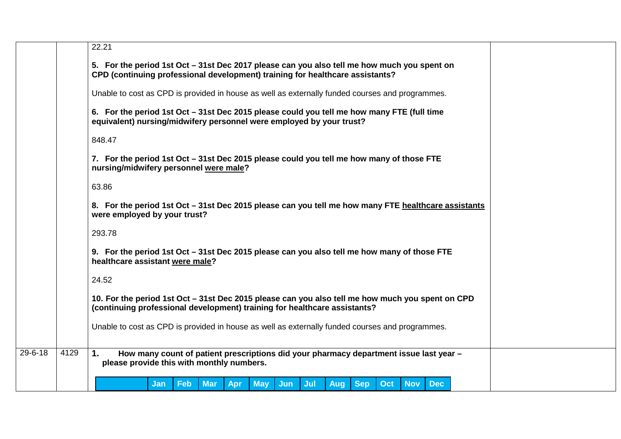|               |      | 22.21                                                                                                                                                                         |
|---------------|------|-------------------------------------------------------------------------------------------------------------------------------------------------------------------------------|
|               |      | 5. For the period 1st Oct – 31st Dec 2017 please can you also tell me how much you spent on<br>CPD (continuing professional development) training for healthcare assistants?  |
|               |      | Unable to cost as CPD is provided in house as well as externally funded courses and programmes.                                                                               |
|               |      | 6. For the period 1st Oct - 31st Dec 2015 please could you tell me how many FTE (full time<br>equivalent) nursing/midwifery personnel were employed by your trust?            |
|               |      | 848.47                                                                                                                                                                        |
|               |      | 7. For the period 1st Oct - 31st Dec 2015 please could you tell me how many of those FTE<br>nursing/midwifery personnel were male?                                            |
|               |      | 63.86                                                                                                                                                                         |
|               |      | 8. For the period 1st Oct – 31st Dec 2015 please can you tell me how many FTE healthcare assistants<br>were employed by your trust?                                           |
|               |      | 293.78                                                                                                                                                                        |
|               |      | 9. For the period 1st Oct - 31st Dec 2015 please can you also tell me how many of those FTE<br>healthcare assistant were male?                                                |
|               |      | 24.52                                                                                                                                                                         |
|               |      | 10. For the period 1st Oct - 31st Dec 2015 please can you also tell me how much you spent on CPD<br>(continuing professional development) training for healthcare assistants? |
|               |      | Unable to cost as CPD is provided in house as well as externally funded courses and programmes.                                                                               |
| $29 - 6 - 18$ | 4129 | 1.<br>How many count of patient prescriptions did your pharmacy department issue last year -<br>please provide this with monthly numbers.                                     |
|               |      | <b>Sep</b><br><b>Nov</b><br><b>Feb</b><br><b>Mar</b><br><b>May</b><br>Jun<br>Jul<br><b>Aug</b><br>Oct<br><b>Dec</b><br>Apr<br><b>Jan</b>                                      |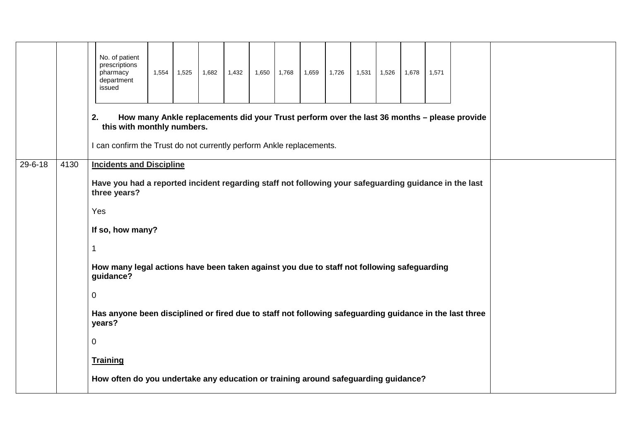|               |      | No. of patient<br>prescriptions<br>pharmacy<br>department<br>issued                                                                                                                                                                                                                                                                                                                                                                | 1,554 | 1,525 | 1,682 | 1,432 | 1,650 | 1,768 | 1,659 | 1,726 | 1,531 | 1,526 | 1,678 | 1,571 |                                                                                             |  |  |
|---------------|------|------------------------------------------------------------------------------------------------------------------------------------------------------------------------------------------------------------------------------------------------------------------------------------------------------------------------------------------------------------------------------------------------------------------------------------|-------|-------|-------|-------|-------|-------|-------|-------|-------|-------|-------|-------|---------------------------------------------------------------------------------------------|--|--|
|               |      | 2.<br>this with monthly numbers.<br>I can confirm the Trust do not currently perform Ankle replacements.                                                                                                                                                                                                                                                                                                                           |       |       |       |       |       |       |       |       |       |       |       |       | How many Ankle replacements did your Trust perform over the last 36 months - please provide |  |  |
| $29 - 6 - 18$ | 4130 | <b>Incidents and Discipline</b><br>Have you had a reported incident regarding staff not following your safeguarding guidance in the last<br>three years?<br>Yes<br>If so, how many?<br>1<br>How many legal actions have been taken against you due to staff not following safeguarding<br>guidance?<br>0<br>Has anyone been disciplined or fired due to staff not following safeguarding guidance in the last three<br>years?<br>0 |       |       |       |       |       |       |       |       |       |       |       |       |                                                                                             |  |  |
|               |      | <b>Training</b><br>How often do you undertake any education or training around safeguarding guidance?                                                                                                                                                                                                                                                                                                                              |       |       |       |       |       |       |       |       |       |       |       |       |                                                                                             |  |  |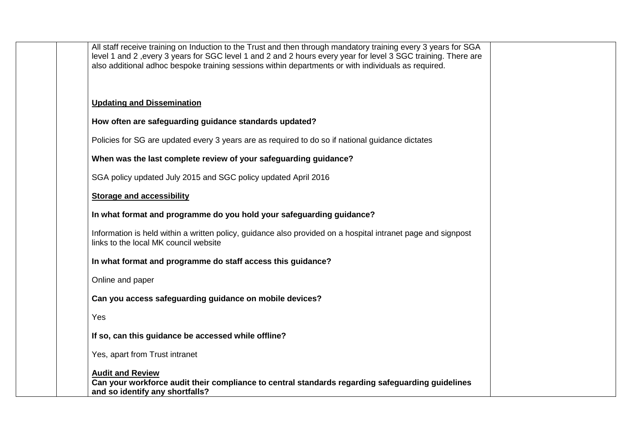| All staff receive training on Induction to the Trust and then through mandatory training every 3 years for SGA<br>level 1 and 2, every 3 years for SGC level 1 and 2 and 2 hours every year for level 3 SGC training. There are<br>also additional adhoc bespoke training sessions within departments or with individuals as required. |
|----------------------------------------------------------------------------------------------------------------------------------------------------------------------------------------------------------------------------------------------------------------------------------------------------------------------------------------|
| <b>Updating and Dissemination</b>                                                                                                                                                                                                                                                                                                      |
| How often are safeguarding guidance standards updated?                                                                                                                                                                                                                                                                                 |
| Policies for SG are updated every 3 years are as required to do so if national guidance dictates                                                                                                                                                                                                                                       |
| When was the last complete review of your safeguarding guidance?                                                                                                                                                                                                                                                                       |
| SGA policy updated July 2015 and SGC policy updated April 2016                                                                                                                                                                                                                                                                         |
| <b>Storage and accessibility</b>                                                                                                                                                                                                                                                                                                       |
| In what format and programme do you hold your safeguarding guidance?                                                                                                                                                                                                                                                                   |
| Information is held within a written policy, guidance also provided on a hospital intranet page and signpost<br>links to the local MK council website                                                                                                                                                                                  |
| In what format and programme do staff access this guidance?                                                                                                                                                                                                                                                                            |
| Online and paper                                                                                                                                                                                                                                                                                                                       |
| Can you access safeguarding guidance on mobile devices?                                                                                                                                                                                                                                                                                |
| Yes                                                                                                                                                                                                                                                                                                                                    |
| If so, can this guidance be accessed while offline?                                                                                                                                                                                                                                                                                    |
| Yes, apart from Trust intranet                                                                                                                                                                                                                                                                                                         |
| <b>Audit and Review</b><br>Can your workforce audit their compliance to central standards regarding safeguarding guidelines<br>and so identify any shortfalls?                                                                                                                                                                         |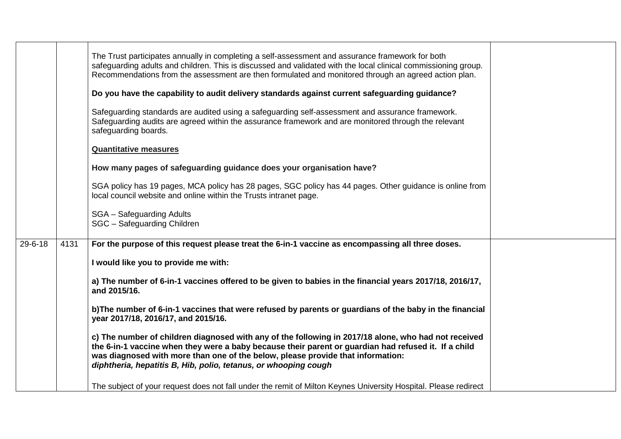|               |      | The Trust participates annually in completing a self-assessment and assurance framework for both<br>safeguarding adults and children. This is discussed and validated with the local clinical commissioning group.<br>Recommendations from the assessment are then formulated and monitored through an agreed action plan.<br>Do you have the capability to audit delivery standards against current safeguarding guidance?<br>Safeguarding standards are audited using a safeguarding self-assessment and assurance framework.<br>Safeguarding audits are agreed within the assurance framework and are monitored through the relevant<br>safeguarding boards.<br><b>Quantitative measures</b><br>How many pages of safeguarding guidance does your organisation have?<br>SGA policy has 19 pages, MCA policy has 28 pages, SGC policy has 44 pages. Other guidance is online from<br>local council website and online within the Trusts intranet page.<br><b>SGA</b> - Safeguarding Adults<br>SGC - Safeguarding Children |  |
|---------------|------|-----------------------------------------------------------------------------------------------------------------------------------------------------------------------------------------------------------------------------------------------------------------------------------------------------------------------------------------------------------------------------------------------------------------------------------------------------------------------------------------------------------------------------------------------------------------------------------------------------------------------------------------------------------------------------------------------------------------------------------------------------------------------------------------------------------------------------------------------------------------------------------------------------------------------------------------------------------------------------------------------------------------------------|--|
| $29 - 6 - 18$ | 4131 | For the purpose of this request please treat the 6-in-1 vaccine as encompassing all three doses.                                                                                                                                                                                                                                                                                                                                                                                                                                                                                                                                                                                                                                                                                                                                                                                                                                                                                                                            |  |
|               |      |                                                                                                                                                                                                                                                                                                                                                                                                                                                                                                                                                                                                                                                                                                                                                                                                                                                                                                                                                                                                                             |  |
|               |      | I would like you to provide me with:                                                                                                                                                                                                                                                                                                                                                                                                                                                                                                                                                                                                                                                                                                                                                                                                                                                                                                                                                                                        |  |
|               |      | a) The number of 6-in-1 vaccines offered to be given to babies in the financial years 2017/18, 2016/17,<br>and 2015/16.                                                                                                                                                                                                                                                                                                                                                                                                                                                                                                                                                                                                                                                                                                                                                                                                                                                                                                     |  |
|               |      | b) The number of 6-in-1 vaccines that were refused by parents or guardians of the baby in the financial<br>year 2017/18, 2016/17, and 2015/16.                                                                                                                                                                                                                                                                                                                                                                                                                                                                                                                                                                                                                                                                                                                                                                                                                                                                              |  |
|               |      | c) The number of children diagnosed with any of the following in 2017/18 alone, who had not received<br>the 6-in-1 vaccine when they were a baby because their parent or guardian had refused it. If a child<br>was diagnosed with more than one of the below, please provide that information:<br>diphtheria, hepatitis B, Hib, polio, tetanus, or whooping cough                                                                                                                                                                                                                                                                                                                                                                                                                                                                                                                                                                                                                                                          |  |
|               |      | The subject of your request does not fall under the remit of Milton Keynes University Hospital. Please redirect                                                                                                                                                                                                                                                                                                                                                                                                                                                                                                                                                                                                                                                                                                                                                                                                                                                                                                             |  |